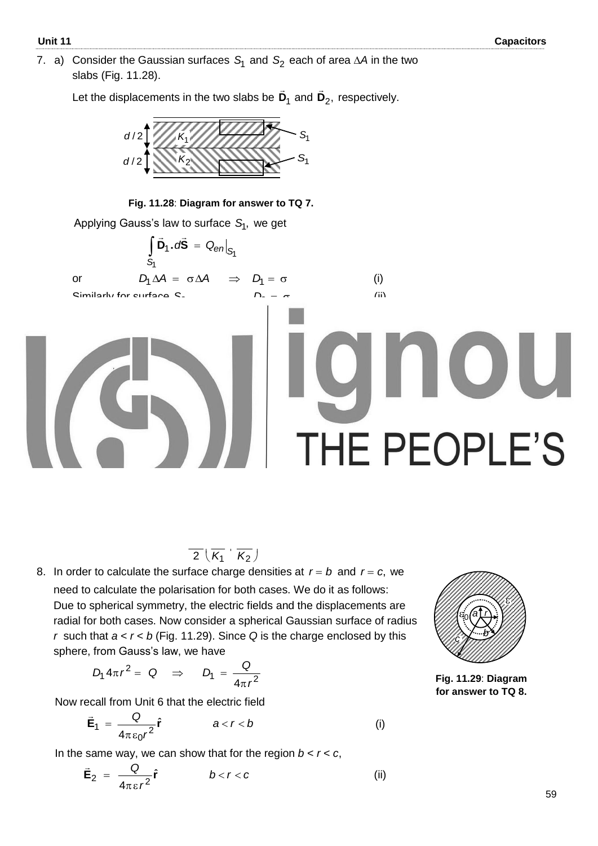7.  $a)$  Consider the Gaussian surfaces  $S_1$  and  $S_2$  each of area  $\Delta A$  in the two slabs (Fig. 11.28).

Let the displacements in the two slabs be  $D_1$  $\overline{a}$ and **D**<sub>2</sub>,  $\overline{a}$ respectively.



**Fig. 11.28**: **Diagram for answer to TQ 7.**

Applying Gauss"s law to surface <sup>1</sup>*S* , we get

$$
\int_{S_1} \vec{D}_1 \cdot d\vec{S} = Q_{en}|_{S_1}
$$
  
or  

$$
D_1 \Delta A = \sigma \Delta A \implies D_1 = \sigma
$$
 (i)

or

and

$$
\begin{array}{ccc}\n S & & & & \\
S & & & & \n \end{array}
$$

(ii)

Similarly for surface  $S_2$ ,  $L_2 = \sigma$ 

b) Since 
$$
\vec{\mathbf{D}} = \varepsilon_0 K \vec{\mathbf{E}}
$$
, we get  $E_1 = \frac{D_1}{\varepsilon_0 K_1} = \frac{\sigma}{\varepsilon_0 K_1}$  (iii)

$$
E_2 = \frac{D_2}{\varepsilon_0 K_2} = \frac{\sigma}{\varepsilon_0 K_2}
$$
 (iv)

and 
$$
E_2 = \frac{D_2}{\epsilon_0 K_2} = \frac{0}{\epsilon_0 K_2}
$$
 (iv)  
\nc) The potential difference between the plates is given by:  
\n
$$
V = \int_0^d \vec{E} \cdot d\vec{r} = \int_0^{d/2} \vec{E}_1 \cdot d\vec{r} + \int_{d/2}^d \vec{E}_2 \cdot d\vec{r} = \int_0^{d/2} E_1 dr + \int_{d/2}^d E_2 dr
$$
\nor 
$$
V = E_1 r \Big|_0^{d/2} + E_2 r \Big|_{d/2}^d = E_1 \frac{d}{2} + E_2 \frac{d}{2}
$$

Using Eqs. (iii) and (iv) in this expression, we get

$$
V = \frac{\sigma}{\epsilon_0} \frac{d}{2} \left( \frac{1}{K_1} + \frac{1}{K_2} \right) \tag{V}
$$

d) From Eq. (v), 
$$
C = \frac{Q}{V} = \frac{\sigma A \epsilon_0}{\frac{\sigma d}{2} (\frac{1}{K_1} + \frac{1}{K_2})} = \frac{2A \epsilon_0}{d} \frac{K_1 K_2}{(K_1 + K_2)}
$$

8. In order to calculate the surface charge densities at  $r = b$  and  $r = c$ , we need to calculate the polarisation for both cases. We do it as follows: Due to spherical symmetry, the electric fields and the displacements are radial for both cases. Now consider a spherical Gaussian surface of radius *r* such that *a* < *r* < *b* (Fig. 11.29). Since *Q* is the charge enclosed by this sphere, from Gauss's law, we have

$$
D_1 4\pi r^2 = Q \Rightarrow D_1 = \frac{Q}{4\pi r^2}
$$

Now recall from Unit 6 that the electric field

$$
\vec{E}_1 = \frac{Q}{4\pi \epsilon_0 r^2} \hat{r} \qquad a < r < b \qquad (i)
$$

In the same way, we can show that for the region  $b < r < c$ ,

$$
\vec{\mathbf{E}}_2 = \frac{Q}{4\pi\epsilon r^2} \hat{\mathbf{r}} \qquad b < r < c \qquad (ii)
$$



**Fig. 11.29**: **Diagram for answer to TQ 8.**